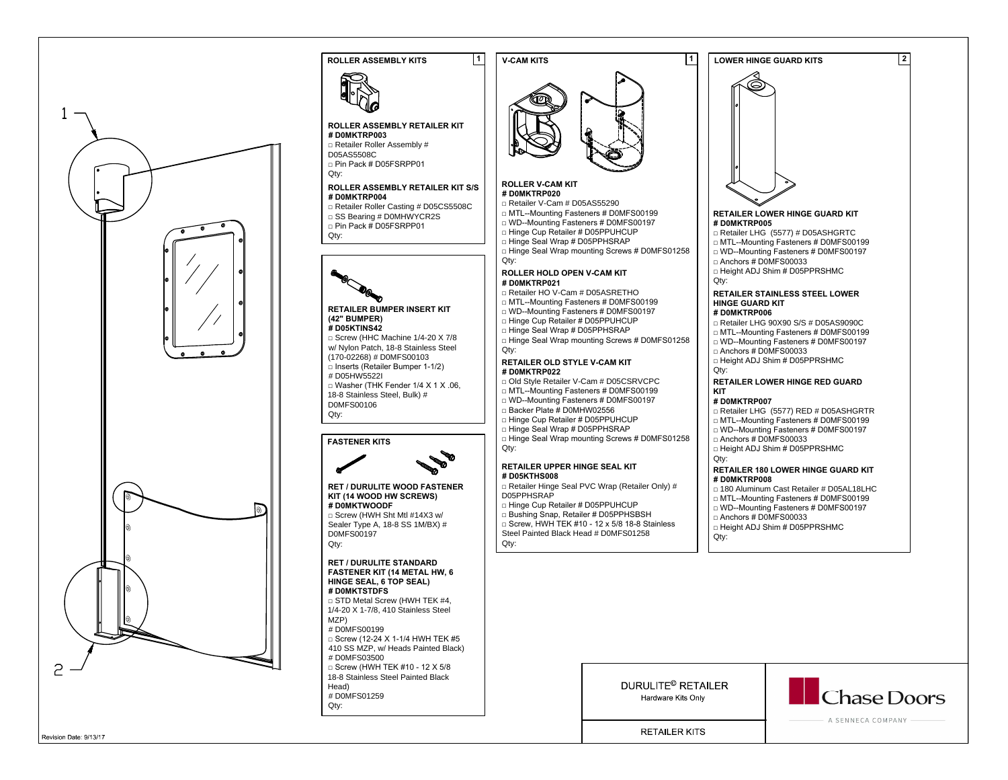